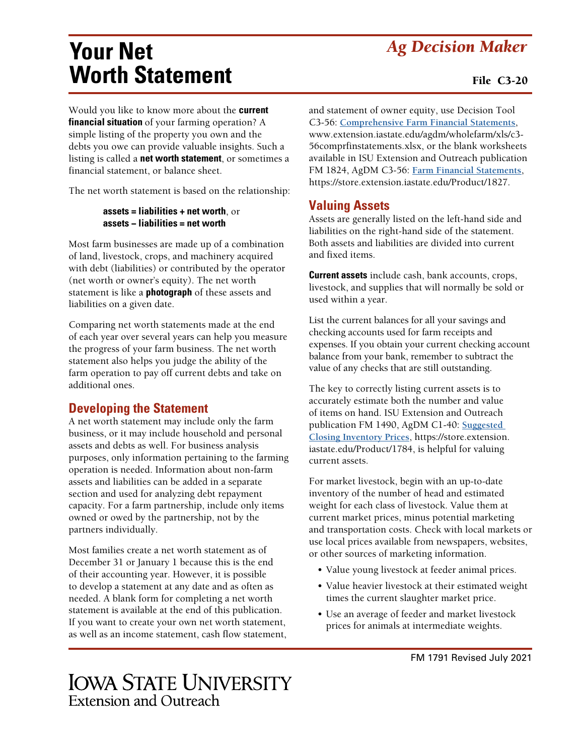# *Ag Decision Maker*

# **Your Net Worth Statement**

Would you like to know more about the **current financial situation** of your farming operation? A simple listing of the property you own and the debts you owe can provide valuable insights. Such a listing is called a **net worth statement**, or sometimes a financial statement, or balance sheet.

The net worth statement is based on the relationship:

#### **assets = liabilities + net worth**, or **assets − liabilities = net worth**

Most farm businesses are made up of a combination of land, livestock, crops, and machinery acquired with debt (liabilities) or contributed by the operator (net worth or owner's equity). The net worth statement is like a **photograph** of these assets and liabilities on a given date.

Comparing net worth statements made at the end of each year over several years can help you measure the progress of your farm business. The net worth statement also helps you judge the ability of the farm operation to pay off current debts and take on additional ones.

## **Developing the Statement**

A net worth statement may include only the farm business, or it may include household and personal assets and debts as well. For business analysis purposes, only information pertaining to the farming operation is needed. Information about non-farm assets and liabilities can be added in a separate section and used for analyzing debt repayment capacity. For a farm partnership, include only items owned or owed by the partnership, not by the partners individually.

Most families create a net worth statement as of December 31 or January 1 because this is the end of their accounting year. However, it is possible to develop a statement at any date and as often as needed. A blank form for completing a net worth statement is available at the end of this publication. If you want to create your own net worth statement, as well as an income statement, cash flow statement, and statement of owner equity, use Decision Tool C3-56: **Comprehensiv[e Farm Financial Statements](https://www.extension.iastate.edu/agdm/wholefarm/xls/c3-56comprfinstatements.xlsx)**, [www.extension.iastate.edu/agdm/wholefarm/xls/c3-](http://www.extension.iastate.edu/agdm/wholefarm/xls/c3-20-25-55comprfinstatements.xlsx) [56comprfinstatements.xlsx](http://www.extension.iastate.edu/agdm/wholefarm/xls/c3-20-25-55comprfinstatements.xlsx), or the blank worksheets available in ISU Extension and Outreach publication FM 1824, AgDM C3-56: **[Farm Financial Statements](https://store.extension.iastate.edu/Product/1827)**, <https://store.extension.iastate.edu/Product/1827>.

## **Valuing Assets**

Assets are generally listed on the left-hand side and liabilities on the right-hand side of the statement. Both assets and liabilities are divided into current and fixed items.

**Current assets** include cash, bank accounts, crops, livestock, and supplies that will normally be sold or used within a year.

List the current balances for all your savings and checking accounts used for farm receipts and expenses. If you obtain your current checking account balance from your bank, remember to subtract the value of any checks that are still outstanding.

The key to correctly listing current assets is to accurately estimate both the number and value of items on hand. ISU Extension and Outreach publication FM 1490, AgDM C1-40: **[Suggested](https://store.extension.iastate.edu/Product/1784)  [Closing Inventory Prices](https://store.extension.iastate.edu/Product/1784)**, [https://store.extension.](https://store.extension.iastate.edu/Product/1784) [iastate.edu/Product/1784,](https://store.extension.iastate.edu/Product/1784) is helpful for valuing current assets.

For market livestock, begin with an up-to-date inventory of the number of head and estimated weight for each class of livestock. Value them at current market prices, minus potential marketing and transportation costs. Check with local markets or use local prices available from newspapers, websites, or other sources of marketing information.

- Value young livestock at feeder animal prices.
- Value heavier livestock at their estimated weight times the current slaughter market price.
- Use an average of feeder and market livestock prices for animals at intermediate weights.

# **IOWA STATE UNIVERSITY Extension and Outreach**

#### File C3-20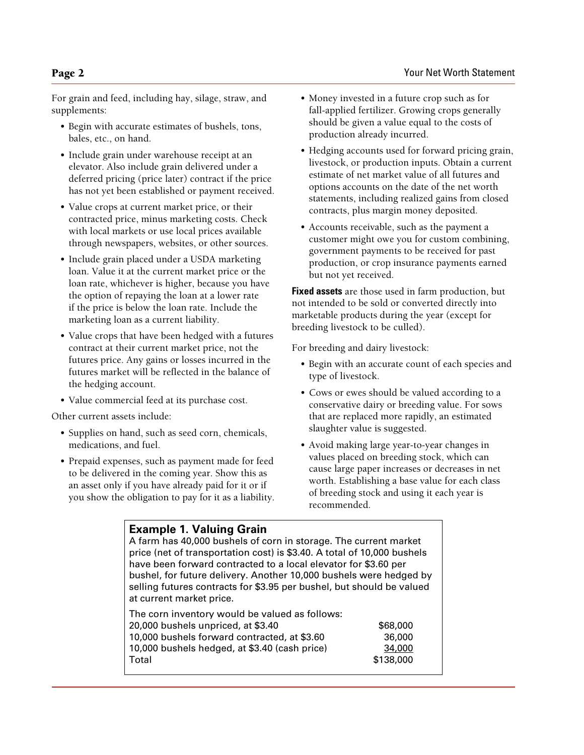For grain and feed, including hay, silage, straw, and supplements:

- Begin with accurate estimates of bushels, tons, bales, etc., on hand.
- Include grain under warehouse receipt at an elevator. Also include grain delivered under a deferred pricing (price later) contract if the price has not yet been established or payment received.
- Value crops at current market price, or their contracted price, minus marketing costs. Check with local markets or use local prices available through newspapers, websites, or other sources.
- Include grain placed under a USDA marketing loan. Value it at the current market price or the loan rate, whichever is higher, because you have the option of repaying the loan at a lower rate if the price is below the loan rate. Include the marketing loan as a current liability.
- Value crops that have been hedged with a futures contract at their current market price, not the futures price. Any gains or losses incurred in the futures market will be reflected in the balance of the hedging account.
- Value commercial feed at its purchase cost.

Other current assets include:

- Supplies on hand, such as seed corn, chemicals, medications, and fuel.
- Prepaid expenses, such as payment made for feed to be delivered in the coming year. Show this as an asset only if you have already paid for it or if you show the obligation to pay for it as a liability.
- Money invested in a future crop such as for fall-applied fertilizer. Growing crops generally should be given a value equal to the costs of production already incurred.
- Hedging accounts used for forward pricing grain, livestock, or production inputs. Obtain a current estimate of net market value of all futures and options accounts on the date of the net worth statements, including realized gains from closed contracts, plus margin money deposited.
- Accounts receivable, such as the payment a customer might owe you for custom combining, government payments to be received for past production, or crop insurance payments earned but not yet received.

**Fixed assets** are those used in farm production, but not intended to be sold or converted directly into marketable products during the year (except for breeding livestock to be culled).

For breeding and dairy livestock:

- Begin with an accurate count of each species and type of livestock.
- Cows or ewes should be valued according to a conservative dairy or breeding value. For sows that are replaced more rapidly, an estimated slaughter value is suggested.
- Avoid making large year-to-year changes in values placed on breeding stock, which can cause large paper increases or decreases in net worth. Establishing a base value for each class of breeding stock and using it each year is recommended.

| <b>Example 1. Valuing Grain</b>                                         |
|-------------------------------------------------------------------------|
| A farm has 40,000 bushels of corn in storage. The current market        |
| price (net of transportation cost) is \$3.40. A total of 10,000 bushels |
| have been forward contracted to a local elevator for \$3.60 per         |
| bushel, for future delivery. Another 10,000 bushels were hedged by      |
| selling futures contracts for \$3.95 per bushel, but should be valued   |
| at current market price.                                                |

The corn inventory would be valued as follows: 20,000 bushels unpriced, at \$3.40 \$68,000 10,000 bushels forward contracted, at \$3.60 36,000 10,000 bushels hedged, at \$3.40 (cash price) 34,000 Total \$138,000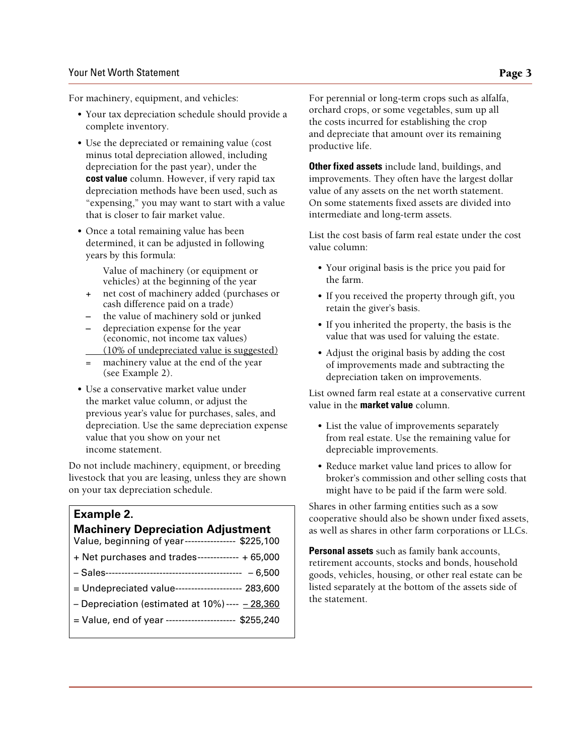#### Your Net Worth Statement **Page 3**

For machinery, equipment, and vehicles:

- Your tax depreciation schedule should provide a complete inventory.
- Use the depreciated or remaining value (cost minus total depreciation allowed, including depreciation for the past year), under the **cost value** column. However, if very rapid tax depreciation methods have been used, such as "expensing," you may want to start with a value that is closer to fair market value.
- Once a total remaining value has been determined, it can be adjusted in following years by this formula:

Value of machinery (or equipment or vehicles) at the beginning of the year

- **+** net cost of machinery added (purchases or cash difference paid on a trade)
- **–** the value of machinery sold or junked
- **–** depreciation expense for the year (economic, not income tax values) (10% of undepreciated value is suggested)
- machinery value at the end of the year (see Example 2).
- Use a conservative market value under the market value column, or adjust the previous year's value for purchases, sales, and depreciation. Use the same depreciation expense value that you show on your net income statement.

Do not include machinery, equipment, or breeding livestock that you are leasing, unless they are shown on your tax depreciation schedule.

#### **Example 2.**

#### **Machinery Depreciation Adjustment**

| Value, beginning of year---------------- \$225,100   |
|------------------------------------------------------|
| + Net purchases and trades------------- + 65,000     |
|                                                      |
| = Undepreciated value--------------------- 283,600   |
| - Depreciation (estimated at $10\%$ ) ---- $-28,360$ |
| = Value, end of year --------------------- \$255,240 |
|                                                      |

For perennial or long-term crops such as alfalfa, orchard crops, or some vegetables, sum up all the costs incurred for establishing the crop and depreciate that amount over its remaining productive life.

**Other fixed assets** include land, buildings, and improvements. They often have the largest dollar value of any assets on the net worth statement. On some statements fixed assets are divided into intermediate and long-term assets.

List the cost basis of farm real estate under the cost value column:

- Your original basis is the price you paid for the farm.
- If you received the property through gift, you retain the giver's basis.
- If you inherited the property, the basis is the value that was used for valuing the estate.
- Adjust the original basis by adding the cost of improvements made and subtracting the depreciation taken on improvements.

List owned farm real estate at a conservative current value in the **market value** column.

- List the value of improvements separately from real estate. Use the remaining value for depreciable improvements.
- Reduce market value land prices to allow for broker's commission and other selling costs that might have to be paid if the farm were sold.

Shares in other farming entities such as a sow cooperative should also be shown under fixed assets, as well as shares in other farm corporations or LLCs.

**Personal assets** such as family bank accounts, retirement accounts, stocks and bonds, household goods, vehicles, housing, or other real estate can be listed separately at the bottom of the assets side of the statement.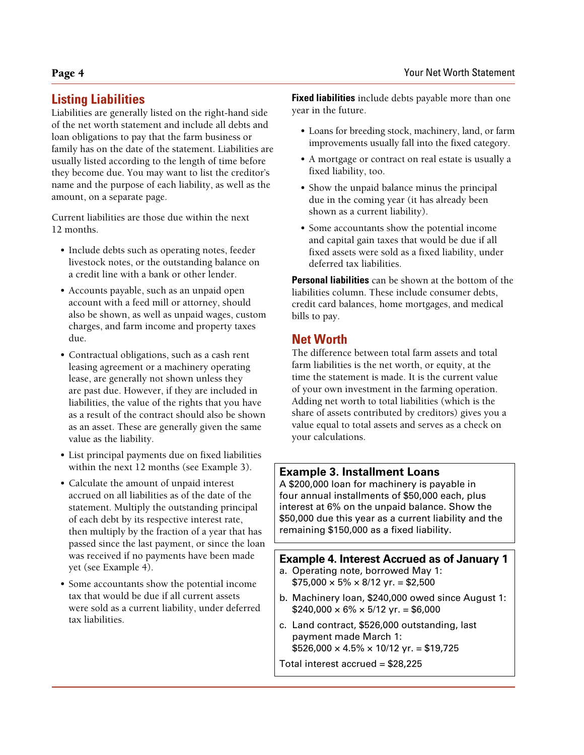## **Listing Liabilities**

Liabilities are generally listed on the right-hand side of the net worth statement and include all debts and loan obligations to pay that the farm business or family has on the date of the statement. Liabilities are usually listed according to the length of time before they become due. You may want to list the creditor's name and the purpose of each liability, as well as the amount, on a separate page.

Current liabilities are those due within the next 12 months.

- Include debts such as operating notes, feeder livestock notes, or the outstanding balance on a credit line with a bank or other lender.
- Accounts payable, such as an unpaid open account with a feed mill or attorney, should also be shown, as well as unpaid wages, custom charges, and farm income and property taxes due.
- Contractual obligations, such as a cash rent leasing agreement or a machinery operating lease, are generally not shown unless they are past due. However, if they are included in liabilities, the value of the rights that you have as a result of the contract should also be shown as an asset. These are generally given the same value as the liability.
- List principal payments due on fixed liabilities within the next 12 months (see Example 3).
- Calculate the amount of unpaid interest accrued on all liabilities as of the date of the statement. Multiply the outstanding principal of each debt by its respective interest rate, then multiply by the fraction of a year that has passed since the last payment, or since the loan was received if no payments have been made yet (see Example 4).
- Some accountants show the potential income tax that would be due if all current assets were sold as a current liability, under deferred tax liabilities.

**Fixed liabilities** include debts payable more than one year in the future.

- Loans for breeding stock, machinery, land, or farm improvements usually fall into the fixed category.
- A mortgage or contract on real estate is usually a fixed liability, too.
- Show the unpaid balance minus the principal due in the coming year (it has already been shown as a current liability).
- Some accountants show the potential income and capital gain taxes that would be due if all fixed assets were sold as a fixed liability, under deferred tax liabilities.

**Personal liabilities** can be shown at the bottom of the liabilities column. These include consumer debts, credit card balances, home mortgages, and medical bills to pay.

## **Net Worth**

The difference between total farm assets and total farm liabilities is the net worth, or equity, at the time the statement is made. It is the current value of your own investment in the farming operation. Adding net worth to total liabilities (which is the share of assets contributed by creditors) gives you a value equal to total assets and serves as a check on your calculations.

## **Example 3. Installment Loans**

A \$200,000 loan for machinery is payable in four annual installments of \$50,000 each, plus interest at 6% on the unpaid balance. Show the \$50,000 due this year as a current liability and the remaining \$150,000 as a fixed liability.

### **Example 4. Interest Accrued as of January 1**

- a. Operating note, borrowed May 1:  $$75,000 \times 5\% \times 8/12 \text{ yr} = $2,500$
- b. Machinery loan, \$240,000 owed since August 1:  $$240,000 \times 6\% \times 5/12 \text{ yr} = $6,000$
- c. Land contract, \$526,000 outstanding, last payment made March 1:  $$526,000 \times 4.5\% \times 10/12 \text{ yr} = $19,725$
- Total interest accrued = \$28,225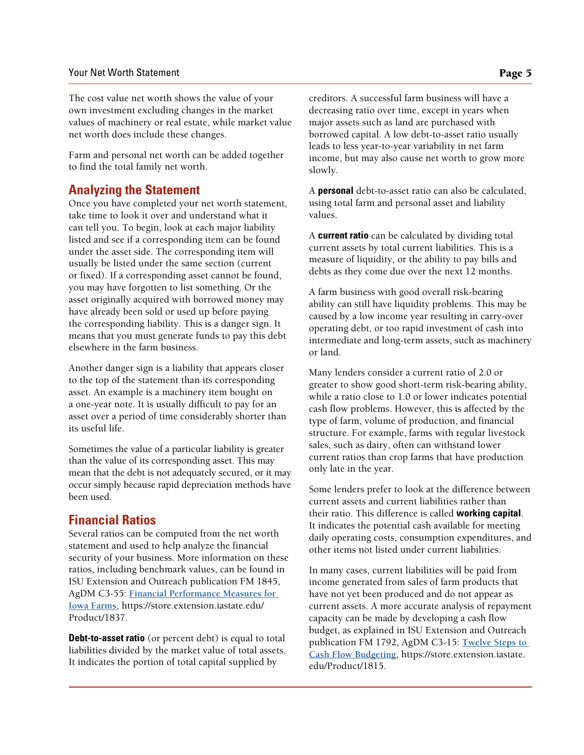The cost value net worth shows the value of your own investment excluding changes in the market values of machinery or real estate, while market value net worth does include these changes.

Farm and personal net worth can be added together to find the total family net worth.

## **Analyzing the Statement**

Once you have completed your net worth statement, take time to look it over and understand what it can tell you. To begin, look at each major liability listed and see if a corresponding item can be found under the asset side. The corresponding item will usually be listed under the same section (current or fixed). If a corresponding asset cannot be found, you may have forgotten to list something. Or the asset originally acquired with borrowed money may have already been sold or used up before paying the corresponding liability. This is a danger sign. It means that you must generate funds to pay this debt elsewhere in the farm business.

Another danger sign is a liability that appears closer to the top of the statement than its corresponding asset. An example is a machinery item bought on a one-year note. It is usually difficult to pay for an asset over a period of time considerably shorter than its useful life.

Sometimes the value of a particular liability is greater than the value of its corresponding asset. This may mean that the debt is not adequately secured, or it may occur simply because rapid depreciation methods have been used.

## **Financial Ratios**

Several ratios can be computed from the net worth statement and used to help analyze the financial security of your business. More information on these ratios, including benchmark values, can be found in ISU Extension and Outreach publication FM 1845, AgDM C3-55: **[Financial Performance Measures for](https://store.extension.iastate.edu/Product/1837)  [Iowa Farms](https://store.extension.iastate.edu/Product/1837)**, [https://store.extension.iastate.edu/](https://store.extension.iastate.edu/Product/1837) [Product/1837](https://store.extension.iastate.edu/Product/1837).

**Debt-to-asset ratio** (or percent debt) is equal to total liabilities divided by the market value of total assets. It indicates the portion of total capital supplied by

creditors. A successful farm business will have a decreasing ratio over time, except in years when major assets such as land are purchased with borrowed capital. A low debt-to-asset ratio usually leads to less year-to-year variability in net farm income, but may also cause net worth to grow more slowly.

A **personal** debt-to-asset ratio can also be calculated, using total farm and personal asset and liability values.

A **current ratio** can be calculated by dividing total current assets by total current liabilities. This is a measure of liquidity, or the ability to pay bills and debts as they come due over the next 12 months.

A farm business with good overall risk-bearing ability can still have liquidity problems. This may be caused by a low income year resulting in carry-over operating debt, or too rapid investment of cash into intermediate and long-term assets, such as machinery or land.

Many lenders consider a current ratio of 2.0 or greater to show good short-term risk-bearing ability, while a ratio close to 1.0 or lower indicates potential cash flow problems. However, this is affected by the type of farm, volume of production, and financial structure. For example, farms with regular livestock sales, such as dairy, often can withstand lower current ratios than crop farms that have production only late in the year.

Some lenders prefer to look at the difference between current assets and current liabilities rather than their ratio. This difference is called **working capital**. It indicates the potential cash available for meeting daily operating costs, consumption expenditures, and other items not listed under current liabilities.

In many cases, current liabilities will be paid from income generated from sales of farm products that have not yet been produced and do not appear as current assets. A more accurate analysis of repayment capacity can be made by developing a cash flow budget, as explained in ISU Extension and Outreach publication FM 1792, AgDM C3-15: **[Twelve Steps to](https://store.extension.iastate.edu/Product/1815)  [Cash Flow Budgeting](https://store.extension.iastate.edu/Product/1815)**, [https://store.extension.iastate.](https://store.extension.iastate.edu/Product/1815) [edu/Product/1815](https://store.extension.iastate.edu/Product/1815).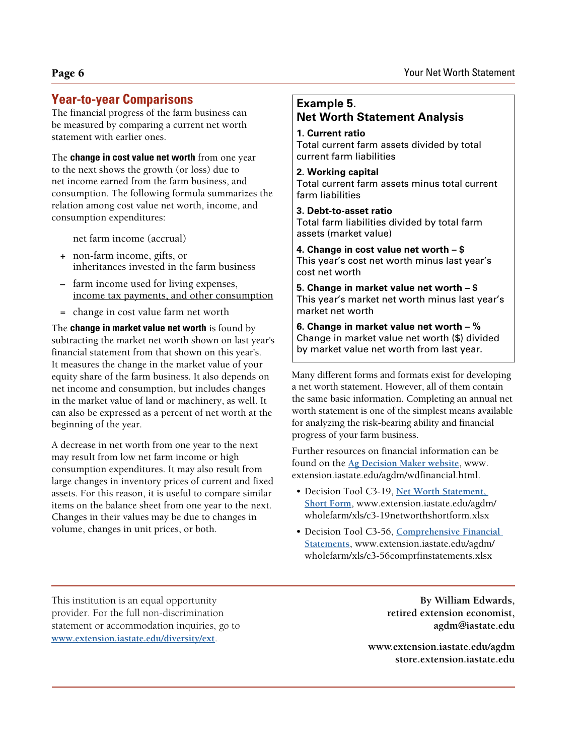## **Year-to-year Comparisons**

The financial progress of the farm business can be measured by comparing a current net worth statement with earlier ones.

The **change in cost value net worth** from one year to the next shows the growth (or loss) due to net income earned from the farm business, and consumption. The following formula summarizes the relation among cost value net worth, income, and consumption expenditures:

net farm income (accrual)

- **+** non-farm income, gifts, or inheritances invested in the farm business
- **–** farm income used for living expenses, income tax payments, and other consumption
- **=** change in cost value farm net worth

The **change in market value net worth** is found by subtracting the market net worth shown on last year's financial statement from that shown on this year's. It measures the change in the market value of your equity share of the farm business. It also depends on net income and consumption, but includes changes in the market value of land or machinery, as well. It can also be expressed as a percent of net worth at the beginning of the year.

A decrease in net worth from one year to the next may result from low net farm income or high consumption expenditures. It may also result from large changes in inventory prices of current and fixed assets. For this reason, it is useful to compare similar items on the balance sheet from one year to the next. Changes in their values may be due to changes in volume, changes in unit prices, or both.

**Example 5. Net Worth Statement Analysis 1. Current ratio** Total current farm assets divided by total current farm liabilities

**2. Working capital** Total current farm assets minus total current farm liabilities

**3. Debt-to-asset ratio** Total farm liabilities divided by total farm assets (market value)

**4. Change in cost value net worth – \$** This year's cost net worth minus last year's cost net worth

**5. Change in market value net worth – \$** This year's market net worth minus last year's market net worth

**6. Change in market value net worth – %** Change in market value net worth (\$) divided by market value net worth from last year.

Many different forms and formats exist for developing a net worth statement. However, all of them contain the same basic information. Completing an annual net worth statement is one of the simplest means available for analyzing the risk-bearing ability and financial progress of your farm business.

Further resources on financial information can be found on the **[Ag Decision Maker website](http://www.extension.iastate.edu/agdm/wdfinancial.html)**, [www.](http://www.extension.iastate.edu/agdm/wdfinancial.html) [extension.iastate.edu/agdm/wdfinancial.html](http://www.extension.iastate.edu/agdm/wdfinancial.html).

- Decision Tool C3-19, **[Net Worth Statement,](https://www.extension.iastate.edu/agdm/wholefarm/xls/c3-19networthshortform.xlsx)  [Short Form](https://www.extension.iastate.edu/agdm/wholefarm/xls/c3-19networthshortform.xlsx)**, [www.extension.iastate.edu/agdm/](http://www.extension.iastate.edu/agdm/wholefarm/xls/c3-19networthshortform.xlsx) [wholefarm/xls/c3-19networthshortform.xlsx](http://www.extension.iastate.edu/agdm/wholefarm/xls/c3-19networthshortform.xlsx)
- Decision Tool C3-56, **[Comprehensive Financial](http://www.extension.iastate.edu/agdm/wholefarm/xls/c3-56comprfinstatements.xlsx)  [Statements](http://www.extension.iastate.edu/agdm/wholefarm/xls/c3-56comprfinstatements.xlsx)**, www.extension.iastate.edu/agdm/ wholefarm/xls/c3-56comprfinstatements.xlsx

This institution is an equal opportunity provider. For the full non-discrimination statement or accommodation inquiries, go to **www.extension.iastate.edu/diversity/ext**.

**By William Edwards, retired extension economist, agdm@iastate.edu**

**[www.extension.iastate.edu/agdm](http://www.extension.iastate.edu/agdm/) [store.extension.iastate.edu](https://store.extension.iastate.edu)**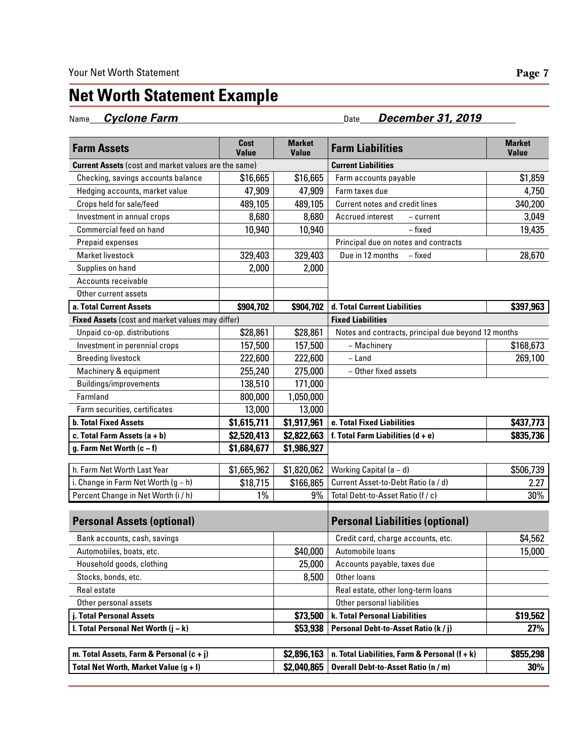# **Net Worth Statement Example**

Name *Cyclone Farm* Date *December 31, 2019* 

| <b>Farm Assets</b>                                          | Cost<br>Value | <b>Market</b><br><b>Value</b> | <b>Farm Liabilities</b>                             | <b>Market</b><br><b>Value</b> |
|-------------------------------------------------------------|---------------|-------------------------------|-----------------------------------------------------|-------------------------------|
| <b>Current Assets</b> (cost and market values are the same) |               | <b>Current Liabilities</b>    |                                                     |                               |
| Checking, savings accounts balance                          | \$16,665      | \$16,665                      | Farm accounts payable                               | \$1,859                       |
| Hedging accounts, market value                              | 47,909        | 47,909                        | Farm taxes due                                      | 4,750                         |
| Crops held for sale/feed                                    | 489,105       | 489,105                       | <b>Current notes and credit lines</b>               | 340,200                       |
| Investment in annual crops                                  | 8,680         | 8,680                         | Accrued interest<br>- current                       | 3,049                         |
| Commercial feed on hand                                     | 10,940        | 10,940                        | - fixed                                             | 19,435                        |
| Prepaid expenses                                            |               |                               | Principal due on notes and contracts                |                               |
| <b>Market livestock</b>                                     | 329,403       | 329,403                       | Due in 12 months<br>- fixed                         | 28,670                        |
| Supplies on hand                                            | 2,000         | 2,000                         |                                                     |                               |
| Accounts receivable                                         |               |                               |                                                     |                               |
| Other current assets                                        |               |                               |                                                     |                               |
| a. Total Current Assets                                     | \$904,702     | \$904,702                     | d. Total Current Liabilities                        | \$397,963                     |
| Fixed Assets (cost and market values may differ)            |               |                               | <b>Fixed Liabilities</b>                            |                               |
| Unpaid co-op. distributions                                 | \$28,861      | \$28,861                      | Notes and contracts, principal due beyond 12 months |                               |
| Investment in perennial crops                               | 157,500       | 157,500                       | - Machinery                                         | \$168,673                     |
| <b>Breeding livestock</b>                                   | 222,600       | 222,600                       | – Land                                              | 269,100                       |
| Machinery & equipment                                       | 255,240       | 275,000                       | - Other fixed assets                                |                               |
| <b>Buildings/improvements</b>                               | 138,510       | 171,000                       |                                                     |                               |
| Farmland                                                    | 800,000       | 1,050,000                     |                                                     |                               |
| Farm securities, certificates                               | 13,000        | 13,000                        |                                                     |                               |
| <b>b. Total Fixed Assets</b>                                | \$1,615,711   | \$1,917,961                   | e. Total Fixed Liabilities                          | \$437,773                     |
| c. Total Farm Assets $(a + b)$                              | \$2,520,413   | \$2,822,663                   | f. Total Farm Liabilities $(d + e)$                 | \$835,736                     |
| g. Farm Net Worth $(c - f)$                                 | \$1,684,677   | \$1,986,927                   |                                                     |                               |
| h. Farm Net Worth Last Year                                 | \$1,665,962   | \$1,820,062                   | Working Capital (a - d)                             | \$506,739                     |
| i. Change in Farm Net Worth (g - h)                         | \$18,715      | \$166,865                     | Current Asset-to-Debt Ratio (a / d)                 | 2.27                          |
| Percent Change in Net Worth (i / h)                         | $1\%$         | 9%                            | Total Debt-to-Asset Ratio (f / c)                   | 30%                           |
| <b>Personal Assets (optional)</b>                           |               |                               | <b>Personal Liabilities (optional)</b>              |                               |
| Bank accounts, cash, savings                                |               |                               | Credit card, charge accounts, etc.                  | \$4,562                       |
| Automobiles, boats, etc.                                    |               | \$40,000                      | Automobile loans                                    | 15,000                        |
| Household goods, clothing                                   |               | 25,000                        | Accounts payable, taxes due                         |                               |
| Stocks, bonds, etc.                                         |               | 8,500                         | Other loans                                         |                               |
| Real estate                                                 |               |                               | Real estate, other long-term loans                  |                               |
| Other personal assets<br>j. Total Personal Assets           |               |                               | Other personal liabilities                          |                               |
|                                                             |               | \$73,500                      | k. Total Personal Liabilities                       | \$19,562                      |
| I. Total Personal Net Worth $(i - k)$                       |               | \$53,938                      | Personal Debt-to-Asset Ratio (k / j)                | 27%                           |
|                                                             |               |                               |                                                     |                               |
| m. Total Assets, Farm & Personal $(c + j)$                  |               | \$2,896,163                   | n. Total Liabilities, Farm & Personal $(f + k)$     | \$855,298                     |
| Total Net Worth, Market Value (g + I)                       |               | \$2,040,865                   | <b>Overall Debt-to-Asset Ratio (n / m)</b>          | 30%                           |

 $\overline{\phantom{a}}$